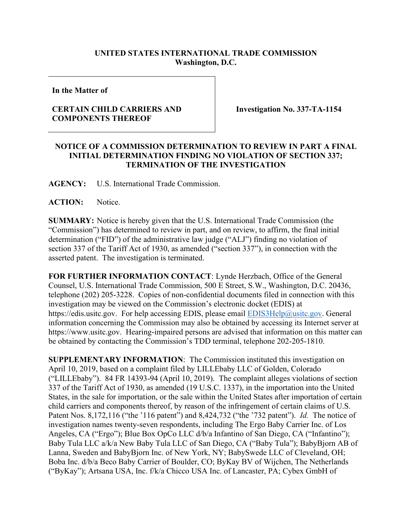## **UNITED STATES INTERNATIONAL TRADE COMMISSION Washington, D.C.**

**In the Matter of**

## **CERTAIN CHILD CARRIERS AND COMPONENTS THEREOF**

**Investigation No. 337-TA-1154**

## **NOTICE OF A COMMISSION DETERMINATION TO REVIEW IN PART A FINAL INITIAL DETERMINATION FINDING NO VIOLATION OF SECTION 337; TERMINATION OF THE INVESTIGATION**

**AGENCY:** U.S. International Trade Commission.

**ACTION:** Notice.

**SUMMARY:** Notice is hereby given that the U.S. International Trade Commission (the "Commission") has determined to review in part, and on review, to affirm, the final initial determination ("FID") of the administrative law judge ("ALJ") finding no violation of section 337 of the Tariff Act of 1930, as amended ("section 337"), in connection with the asserted patent. The investigation is terminated.

**FOR FURTHER INFORMATION CONTACT**: Lynde Herzbach, Office of the General Counsel, U.S. International Trade Commission, 500 E Street, S.W., Washington, D.C. 20436, telephone (202) 205-3228. Copies of non-confidential documents filed in connection with this investigation may be viewed on the Commission's electronic docket (EDIS) at https://edis.usitc.gov. For help accessing EDIS, please email [EDIS3Help@usitc.gov.](mailto:EDIS3Help@usitc.gov) General information concerning the Commission may also be obtained by accessing its Internet server at https://www.usitc.gov. Hearing-impaired persons are advised that information on this matter can be obtained by contacting the Commission's TDD terminal, telephone 202-205-1810.

**SUPPLEMENTARY INFORMATION**: The Commission instituted this investigation on April 10, 2019, based on a complaint filed by LILLEbaby LLC of Golden, Colorado ("LILLEbaby"). 84 FR 14393-94 (April 10, 2019). The complaint alleges violations of section 337 of the Tariff Act of 1930, as amended (19 U.S.C. 1337), in the importation into the United States, in the sale for importation, or the sale within the United States after importation of certain child carriers and components thereof, by reason of the infringement of certain claims of U.S. Patent Nos. 8,172,116 ("the '116 patent") and 8,424,732 ("the '732 patent"). *Id.* The notice of investigation names twenty-seven respondents, including The Ergo Baby Carrier Inc. of Los Angeles, CA ("Ergo"); Blue Box OpCo LLC d/b/a Infantino of San Diego, CA ("Infantino"); Baby Tula LLC a/k/a New Baby Tula LLC of San Diego, CA ("Baby Tula"); BabyBjorn AB of Lanna, Sweden and BabyBjorn Inc. of New York, NY; BabySwede LLC of Cleveland, OH; Boba Inc. d/b/a Beco Baby Carrier of Boulder, CO; ByKay BV of Wijchen, The Netherlands ("ByKay"); Artsana USA, Inc. f/k/a Chicco USA Inc. of Lancaster, PA; Cybex GmbH of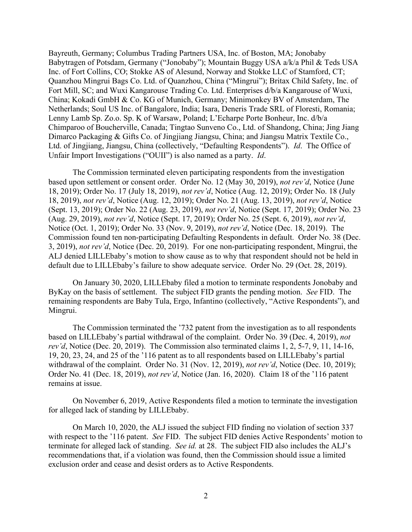Bayreuth, Germany; Columbus Trading Partners USA, Inc. of Boston, MA; Jonobaby Babytragen of Potsdam, Germany ("Jonobaby"); Mountain Buggy USA a/k/a Phil & Teds USA Inc. of Fort Collins, CO; Stokke AS of Alesund, Norway and Stokke LLC of Stamford, CT; Quanzhou Mingrui Bags Co. Ltd. of Quanzhou, China ("Mingrui"); Britax Child Safety, Inc. of Fort Mill, SC; and Wuxi Kangarouse Trading Co. Ltd. Enterprises d/b/a Kangarouse of Wuxi, China; Kokadi GmbH & Co. KG of Munich, Germany; Minimonkey BV of Amsterdam, The Netherlands; Soul US Inc. of Bangalore, India; Isara, Deneris Trade SRL of Floresti, Romania; Lenny Lamb Sp. Zo.o. Sp. K of Warsaw, Poland; L'Echarpe Porte Bonheur, Inc. d/b/a Chimparoo of Boucherville, Canada; Tingtao Sunveno Co., Ltd. of Shandong, China; Jing Jiang Dimarco Packaging & Gifts Co. of Jingjiang Jiangsu, China; and Jiangsu Matrix Textile Co., Ltd. of Jingjiang, Jiangsu, China (collectively, "Defaulting Respondents"). *Id*. The Office of Unfair Import Investigations ("OUII") is also named as a party. *Id*.

The Commission terminated eleven participating respondents from the investigation based upon settlement or consent order. Order No. 12 (May 30, 2019), *not rev'd*, Notice (June 18, 2019); Order No. 17 (July 18, 2019), *not rev'd*, Notice (Aug. 12, 2019); Order No. 18 (July 18, 2019), *not rev'd*, Notice (Aug. 12, 2019); Order No. 21 (Aug. 13, 2019), *not rev'd*, Notice (Sept. 13, 2019); Order No. 22 (Aug. 23, 2019), *not rev'd*, Notice (Sept. 17, 2019); Order No. 23 (Aug. 29, 2019), *not rev'd*, Notice (Sept. 17, 2019); Order No. 25 (Sept. 6, 2019), *not rev'd*, Notice (Oct. 1, 2019); Order No. 33 (Nov. 9, 2019), *not rev'd*, Notice (Dec. 18, 2019). The Commission found ten non-participating Defaulting Respondents in default. Order No. 38 (Dec. 3, 2019), *not rev'd*, Notice (Dec. 20, 2019). For one non-participating respondent, Mingrui, the ALJ denied LILLEbaby's motion to show cause as to why that respondent should not be held in default due to LILLEbaby's failure to show adequate service. Order No. 29 (Oct. 28, 2019).

On January 30, 2020, LILLEbaby filed a motion to terminate respondents Jonobaby and ByKay on the basis of settlement. The subject FID grants the pending motion. *See* FID. The remaining respondents are Baby Tula, Ergo, Infantino (collectively, "Active Respondents"), and Mingrui.

The Commission terminated the '732 patent from the investigation as to all respondents based on LILLEbaby's partial withdrawal of the complaint. Order No. 39 (Dec. 4, 2019), *not rev'd*, Notice (Dec. 20, 2019). The Commission also terminated claims 1, 2, 5-7, 9, 11, 14-16, 19, 20, 23, 24, and 25 of the '116 patent as to all respondents based on LILLEbaby's partial withdrawal of the complaint. Order No. 31 (Nov. 12, 2019), *not rev'd*, Notice (Dec. 10, 2019); Order No. 41 (Dec. 18, 2019), *not rev'd*, Notice (Jan. 16, 2020). Claim 18 of the '116 patent remains at issue.

On November 6, 2019, Active Respondents filed a motion to terminate the investigation for alleged lack of standing by LILLEbaby.

On March 10, 2020, the ALJ issued the subject FID finding no violation of section 337 with respect to the '116 patent. *See* FID. The subject FID denies Active Respondents' motion to terminate for alleged lack of standing. *See id.* at 28. The subject FID also includes the ALJ's recommendations that, if a violation was found, then the Commission should issue a limited exclusion order and cease and desist orders as to Active Respondents.